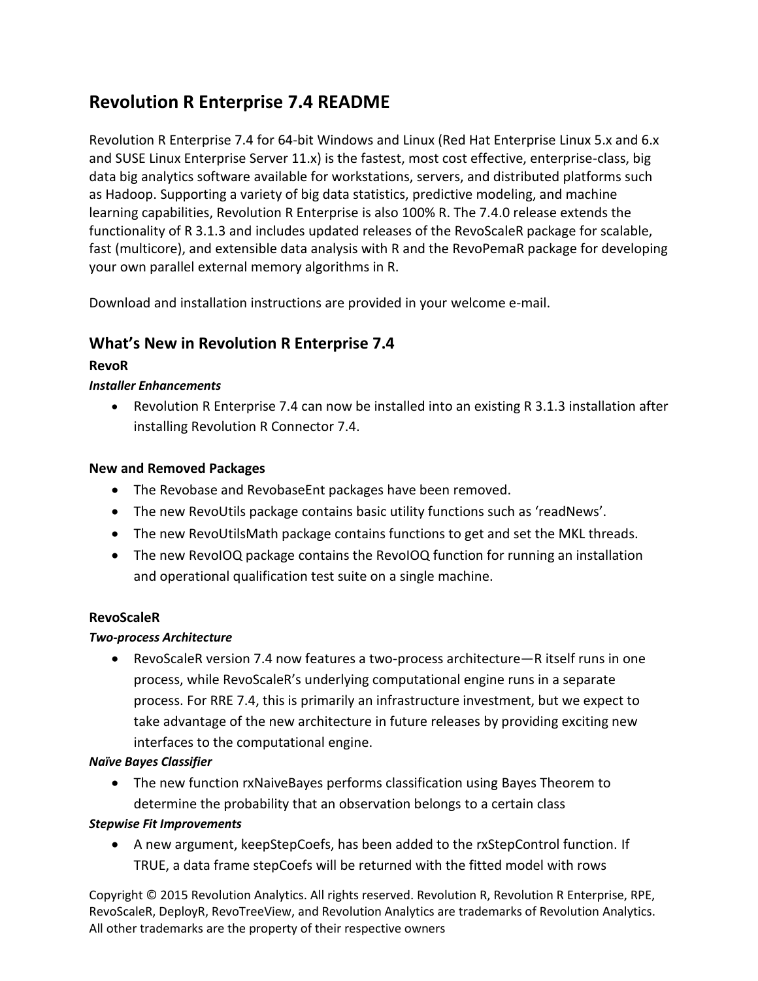# **Revolution R Enterprise 7.4 README**

Revolution R Enterprise 7.4 for 64-bit Windows and Linux (Red Hat Enterprise Linux 5.x and 6.x and SUSE Linux Enterprise Server 11.x) is the fastest, most cost effective, enterprise-class, big data big analytics software available for workstations, servers, and distributed platforms such as Hadoop. Supporting a variety of big data statistics, predictive modeling, and machine learning capabilities, Revolution R Enterprise is also 100% R. The 7.4.0 release extends the functionality of R 3.1.3 and includes updated releases of the RevoScaleR package for scalable, fast (multicore), and extensible data analysis with R and the RevoPemaR package for developing your own parallel external memory algorithms in R.

Download and installation instructions are provided in your welcome e-mail.

# **What's New in Revolution R Enterprise 7.4**

# **RevoR**

# *Installer Enhancements*

 Revolution R Enterprise 7.4 can now be installed into an existing R 3.1.3 installation after installing Revolution R Connector 7.4.

# **New and Removed Packages**

- The Revobase and RevobaseEnt packages have been removed.
- The new RevoUtils package contains basic utility functions such as 'readNews'.
- The new RevoUtilsMath package contains functions to get and set the MKL threads.
- The new RevoIOQ package contains the RevoIOQ function for running an installation and operational qualification test suite on a single machine.

# **RevoScaleR**

#### *Two-process Architecture*

 RevoScaleR version 7.4 now features a two-process architecture—R itself runs in one process, while RevoScaleR's underlying computational engine runs in a separate process. For RRE 7.4, this is primarily an infrastructure investment, but we expect to take advantage of the new architecture in future releases by providing exciting new interfaces to the computational engine.

# *Naïve Bayes Classifier*

 The new function rxNaiveBayes performs classification using Bayes Theorem to determine the probability that an observation belongs to a certain class

#### *Stepwise Fit Improvements*

 A new argument, keepStepCoefs, has been added to the rxStepControl function. If TRUE, a data frame stepCoefs will be returned with the fitted model with rows

Copyright © 2015 Revolution Analytics. All rights reserved. Revolution R, Revolution R Enterprise, RPE, RevoScaleR, DeployR, RevoTreeView, and Revolution Analytics are trademarks of Revolution Analytics. All other trademarks are the property of their respective owners